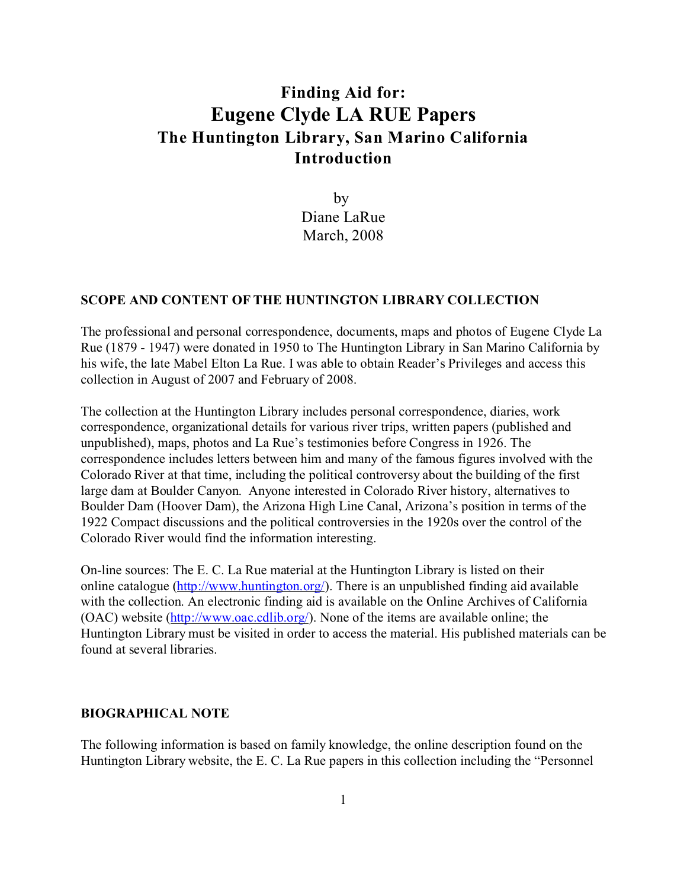# **Finding Aid for: Eugene Clyde LA RUE Papers The Huntington Library, San Marino California Introduction**

by Diane LaRue March, 2008

### **SCOPE AND CONTENT OF THE HUNTINGTON LIBRARY COLLECTION**

The professional and personal correspondence, documents, maps and photos of Eugene Clyde La Rue (1879 - 1947) were donated in 1950 to The Huntington Library in San Marino California by his wife, the late Mabel Elton La Rue. I was able to obtain Reader's Privileges and access this collection in August of 2007 and February of 2008.

The collection at the Huntington Library includes personal correspondence, diaries, work correspondence, organizational details for various river trips, written papers (published and unpublished), maps, photos and La Rue's testimonies before Congress in 1926. The correspondence includes letters between him and many of the famous figures involved with the Colorado River at that time, including the political controversy about the building of the first large dam at Boulder Canyon. Anyone interested in Colorado River history, alternatives to Boulder Dam (Hoover Dam), the Arizona High Line Canal, Arizona's position in terms of the 1922 Compact discussions and the political controversies in the 1920s over the control of the Colorado River would find the information interesting.

On-line sources: The E. C. La Rue material at the Huntington Library is listed on their online catalogue [\(http://www.huntington.org/](http://(http://www.huntington.org/)). There is an unpublished finding aid available with the collection. An electronic finding aid is available on the Online Archives of California (OAC) website [\(http://www.oac.cdlib.org/](http://(http://www.oac.cdlib.org/)). None of the items are available online; the Huntington Library must be visited in order to access the material. His published materials can be found at several libraries.

### **BIOGRAPHICAL NOTE**

The following information is based on family knowledge, the online description found on the Huntington Library website, the E. C. La Rue papers in this collection including the "Personnel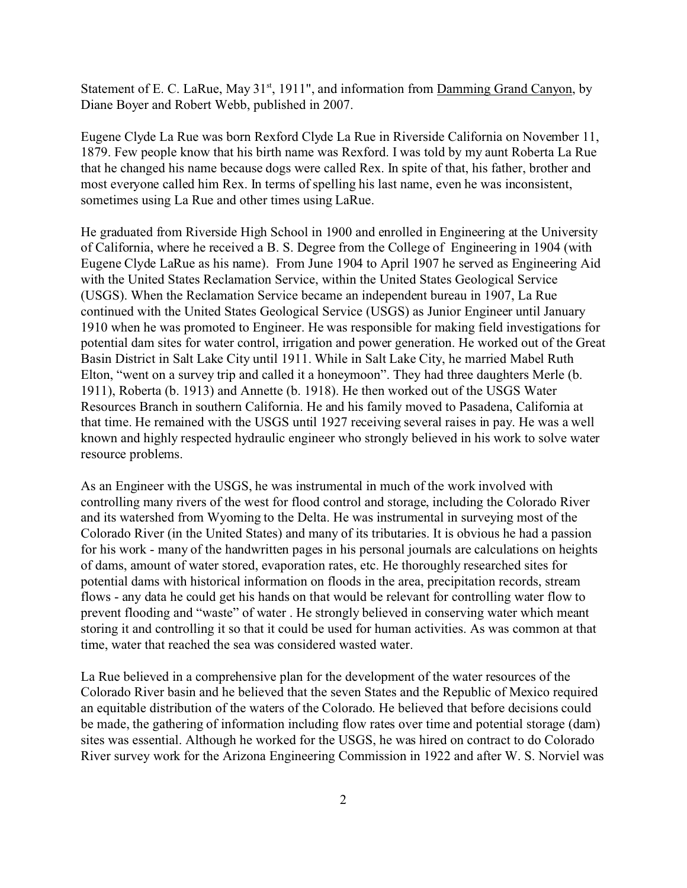Statement of E. C. LaRue, May  $31<sup>st</sup>$ , 1911", and information from Damming Grand Canyon, by Diane Boyer and Robert Webb, published in 2007.

Eugene Clyde La Rue was born Rexford Clyde La Rue in Riverside California on November 11, 1879. Few people know that his birth name was Rexford. I was told by my aunt Roberta La Rue that he changed his name because dogs were called Rex. In spite of that, his father, brother and most everyone called him Rex. In terms of spelling his last name, even he was inconsistent, sometimes using La Rue and other times using LaRue.

He graduated from Riverside High School in 1900 and enrolled in Engineering at the University of California, where he received a B. S. Degree from the College of Engineering in 1904 (with Eugene Clyde LaRue as his name). From June 1904 to April 1907 he served as Engineering Aid with the United States Reclamation Service, within the United States Geological Service (USGS). When the Reclamation Service became an independent bureau in 1907, La Rue continued with the United States Geological Service (USGS) as Junior Engineer until January 1910 when he was promoted to Engineer. He was responsible for making field investigations for potential dam sites for water control, irrigation and power generation. He worked out of the Great Basin District in Salt Lake City until 1911. While in Salt Lake City, he married Mabel Ruth Elton, "went on a survey trip and called it a honeymoon". They had three daughters Merle (b. 1911), Roberta (b. 1913) and Annette (b. 1918). He then worked out of the USGS Water Resources Branch in southern California. He and his family moved to Pasadena, California at that time. He remained with the USGS until 1927 receiving several raises in pay. He was a well known and highly respected hydraulic engineer who strongly believed in his work to solve water resource problems.

As an Engineer with the USGS, he was instrumental in much of the work involved with controlling many rivers of the west for flood control and storage, including the Colorado River and its watershed from Wyoming to the Delta. He was instrumental in surveying most of the Colorado River (in the United States) and many of its tributaries. It is obvious he had a passion for his work - many of the handwritten pages in his personal journals are calculations on heights of dams, amount of water stored, evaporation rates, etc. He thoroughly researched sites for potential dams with historical information on floods in the area, precipitation records, stream flows - any data he could get his hands on that would be relevant for controlling water flow to prevent flooding and "waste" of water . He strongly believed in conserving water which meant storing it and controlling it so that it could be used for human activities. As was common at that time, water that reached the sea was considered wasted water.

La Rue believed in a comprehensive plan for the development of the water resources of the Colorado River basin and he believed that the seven States and the Republic of Mexico required an equitable distribution of the waters of the Colorado. He believed that before decisions could be made, the gathering of information including flow rates over time and potential storage (dam) sites was essential. Although he worked for the USGS, he was hired on contract to do Colorado River survey work for the Arizona Engineering Commission in 1922 and after W. S. Norviel was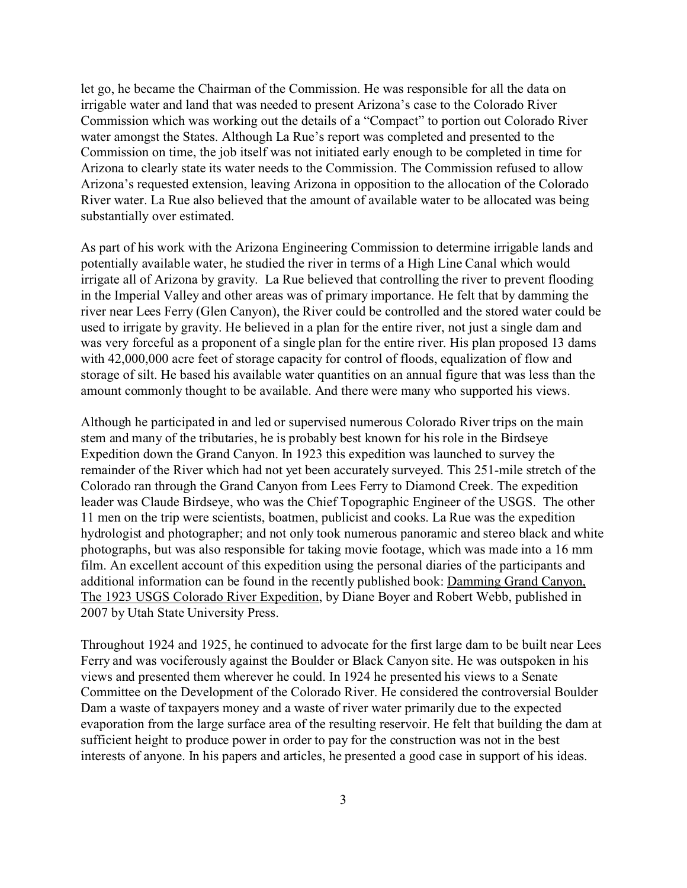let go, he became the Chairman of the Commission. He was responsible for all the data on irrigable water and land that was needed to present Arizona's case to the Colorado River Commission which was working out the details of a "Compact" to portion out Colorado River water amongst the States. Although La Rue's report was completed and presented to the Commission on time, the job itself was not initiated early enough to be completed in time for Arizona to clearly state its water needs to the Commission. The Commission refused to allow Arizona's requested extension, leaving Arizona in opposition to the allocation of the Colorado River water. La Rue also believed that the amount of available water to be allocated was being substantially over estimated.

As part of his work with the Arizona Engineering Commission to determine irrigable lands and potentially available water, he studied the river in terms of a High Line Canal which would irrigate all of Arizona by gravity. La Rue believed that controlling the river to prevent flooding in the Imperial Valley and other areas was of primary importance. He felt that by damming the river near Lees Ferry (Glen Canyon), the River could be controlled and the stored water could be used to irrigate by gravity. He believed in a plan for the entire river, not just a single dam and was very forceful as a proponent of a single plan for the entire river. His plan proposed 13 dams with 42,000,000 acre feet of storage capacity for control of floods, equalization of flow and storage of silt. He based his available water quantities on an annual figure that was less than the amount commonly thought to be available. And there were many who supported his views.

Although he participated in and led or supervised numerous Colorado River trips on the main stem and many of the tributaries, he is probably best known for his role in the Birdseye Expedition down the Grand Canyon. In 1923 this expedition was launched to survey the remainder of the River which had not yet been accurately surveyed. This 251-mile stretch of the Colorado ran through the Grand Canyon from Lees Ferry to Diamond Creek. The expedition leader was Claude Birdseye, who was the Chief Topographic Engineer of the USGS. The other 11 men on the trip were scientists, boatmen, publicist and cooks. La Rue was the expedition hydrologist and photographer; and not only took numerous panoramic and stereo black and white photographs, but was also responsible for taking movie footage, which was made into a 16 mm film. An excellent account of this expedition using the personal diaries of the participants and additional information can be found in the recently published book: Damming Grand Canyon, The 1923 USGS Colorado River Expedition, by Diane Boyer and Robert Webb, published in 2007 by Utah State University Press.

Throughout 1924 and 1925, he continued to advocate for the first large dam to be built near Lees Ferry and was vociferously against the Boulder or Black Canyon site. He was outspoken in his views and presented them wherever he could. In 1924 he presented his views to a Senate Committee on the Development of the Colorado River. He considered the controversial Boulder Dam a waste of taxpayers money and a waste of river water primarily due to the expected evaporation from the large surface area of the resulting reservoir. He felt that building the dam at sufficient height to produce power in order to pay for the construction was not in the best interests of anyone. In his papers and articles, he presented a good case in support of his ideas.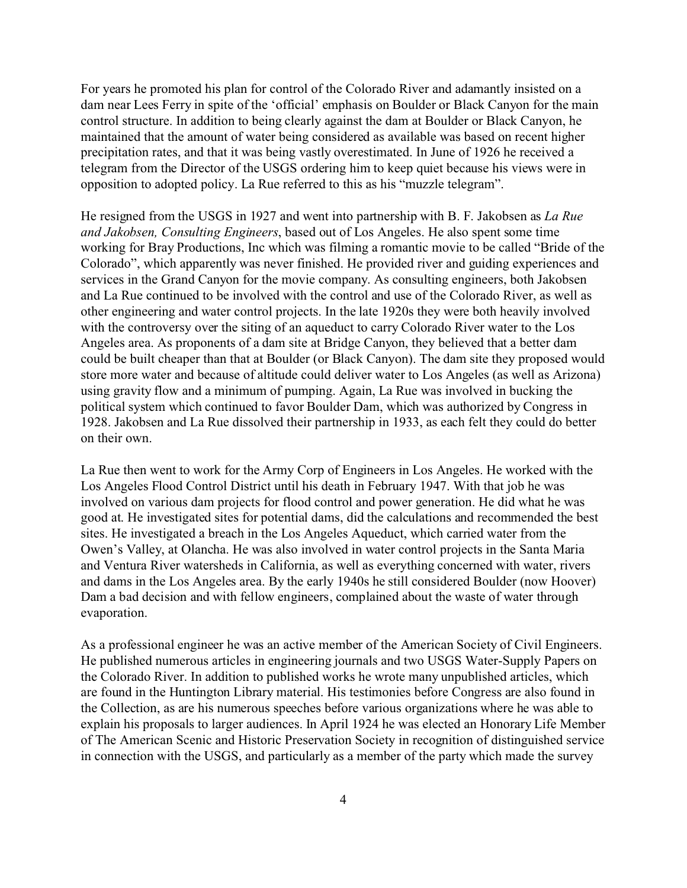For years he promoted his plan for control of the Colorado River and adamantly insisted on a dam near Lees Ferry in spite of the 'official' emphasis on Boulder or Black Canyon for the main control structure. In addition to being clearly against the dam at Boulder or Black Canyon, he maintained that the amount of water being considered as available was based on recent higher precipitation rates, and that it was being vastly overestimated. In June of 1926 he received a telegram from the Director of the USGS ordering him to keep quiet because his views were in opposition to adopted policy. La Rue referred to this as his "muzzle telegram".

He resigned from the USGS in 1927 and went into partnership with B. F. Jakobsen as *La Rue and Jakobsen, Consulting Engineers*, based out of Los Angeles. He also spent some time working for Bray Productions, Inc which was filming a romantic movie to be called "Bride of the Colorado", which apparently was never finished. He provided river and guiding experiences and services in the Grand Canyon for the movie company. As consulting engineers, both Jakobsen and La Rue continued to be involved with the control and use of the Colorado River, as well as other engineering and water control projects. In the late 1920s they were both heavily involved with the controversy over the siting of an aqueduct to carry Colorado River water to the Los Angeles area. As proponents of a dam site at Bridge Canyon, they believed that a better dam could be built cheaper than that at Boulder (or Black Canyon). The dam site they proposed would store more water and because of altitude could deliver water to Los Angeles (as well as Arizona) using gravity flow and a minimum of pumping. Again, La Rue was involved in bucking the political system which continued to favor Boulder Dam, which was authorized by Congress in 1928. Jakobsen and La Rue dissolved their partnership in 1933, as each felt they could do better on their own.

La Rue then went to work for the Army Corp of Engineers in Los Angeles. He worked with the Los Angeles Flood Control District until his death in February 1947. With that job he was involved on various dam projects for flood control and power generation. He did what he was good at. He investigated sites for potential dams, did the calculations and recommended the best sites. He investigated a breach in the Los Angeles Aqueduct, which carried water from the Owen's Valley, at Olancha. He was also involved in water control projects in the Santa Maria and Ventura River watersheds in California, as well as everything concerned with water, rivers and dams in the Los Angeles area. By the early 1940s he still considered Boulder (now Hoover) Dam a bad decision and with fellow engineers, complained about the waste of water through evaporation.

As a professional engineer he was an active member of the American Society of Civil Engineers. He published numerous articles in engineering journals and two USGS Water-Supply Papers on the Colorado River. In addition to published works he wrote many unpublished articles, which are found in the Huntington Library material. His testimonies before Congress are also found in the Collection, as are his numerous speeches before various organizations where he was able to explain his proposals to larger audiences. In April 1924 he was elected an Honorary Life Member of The American Scenic and Historic Preservation Society in recognition of distinguished service in connection with the USGS, and particularly as a member of the party which made the survey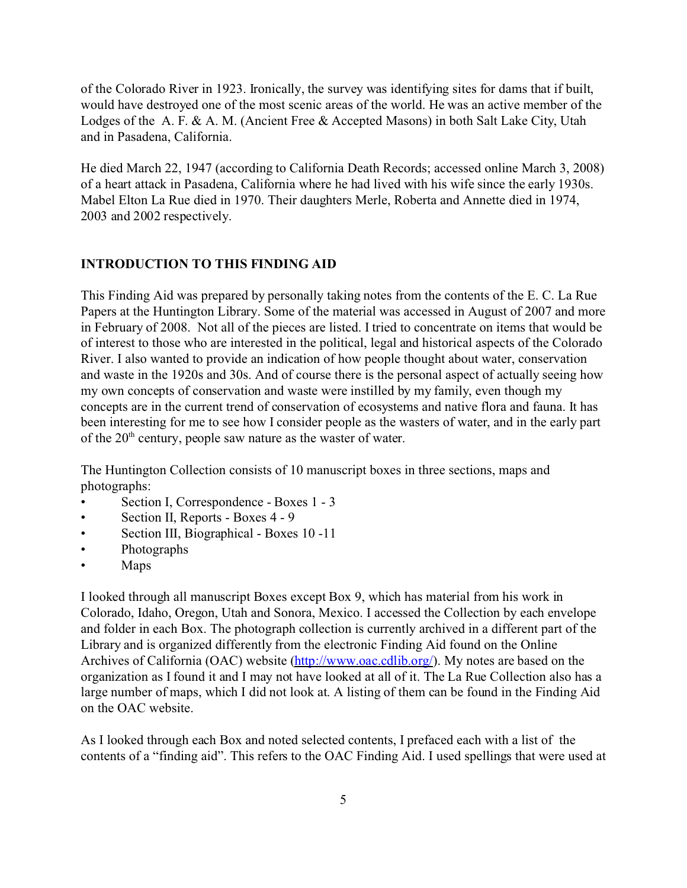of the Colorado River in 1923. Ironically, the survey was identifying sites for dams that if built, would have destroyed one of the most scenic areas of the world. He was an active member of the Lodges of the A. F. & A. M. (Ancient Free & Accepted Masons) in both Salt Lake City, Utah and in Pasadena, California.

He died March 22, 1947 (according to California Death Records; accessed online March 3, 2008) of a heart attack in Pasadena, California where he had lived with his wife since the early 1930s. Mabel Elton La Rue died in 1970. Their daughters Merle, Roberta and Annette died in 1974, 2003 and 2002 respectively.

### **INTRODUCTION TO THIS FINDING AID**

This Finding Aid was prepared by personally taking notes from the contents of the E. C. La Rue Papers at the Huntington Library. Some of the material was accessed in August of 2007 and more in February of 2008. Not all of the pieces are listed. I tried to concentrate on items that would be of interest to those who are interested in the political, legal and historical aspects of the Colorado River. I also wanted to provide an indication of how people thought about water, conservation and waste in the 1920s and 30s. And of course there is the personal aspect of actually seeing how my own concepts of conservation and waste were instilled by my family, even though my concepts are in the current trend of conservation of ecosystems and native flora and fauna. It has been interesting for me to see how I consider people as the wasters of water, and in the early part of the 20th century, people saw nature as the waster of water.

The Huntington Collection consists of 10 manuscript boxes in three sections, maps and photographs:

- Section I, Correspondence Boxes 1 3
- Section II, Reports Boxes 4 9
- Section III, Biographical Boxes 10 -11
- Photographs
- Maps

I looked through all manuscript Boxes except Box 9, which has material from his work in Colorado, Idaho, Oregon, Utah and Sonora, Mexico. I accessed the Collection by each envelope and folder in each Box. The photograph collection is currently archived in a different part of the Library and is organized differently from the electronic Finding Aid found on the Online Archives of California (OAC) website [\(http://www.oac.cdlib.org/](http://(http://www.oac.cdlib.org/)). My notes are based on the organization as I found it and I may not have looked at all of it. The La Rue Collection also has a large number of maps, which I did not look at. A listing of them can be found in the Finding Aid on the OAC website.

As I looked through each Box and noted selected contents, I prefaced each with a list of the contents of a "finding aid". This refers to the OAC Finding Aid. I used spellings that were used at